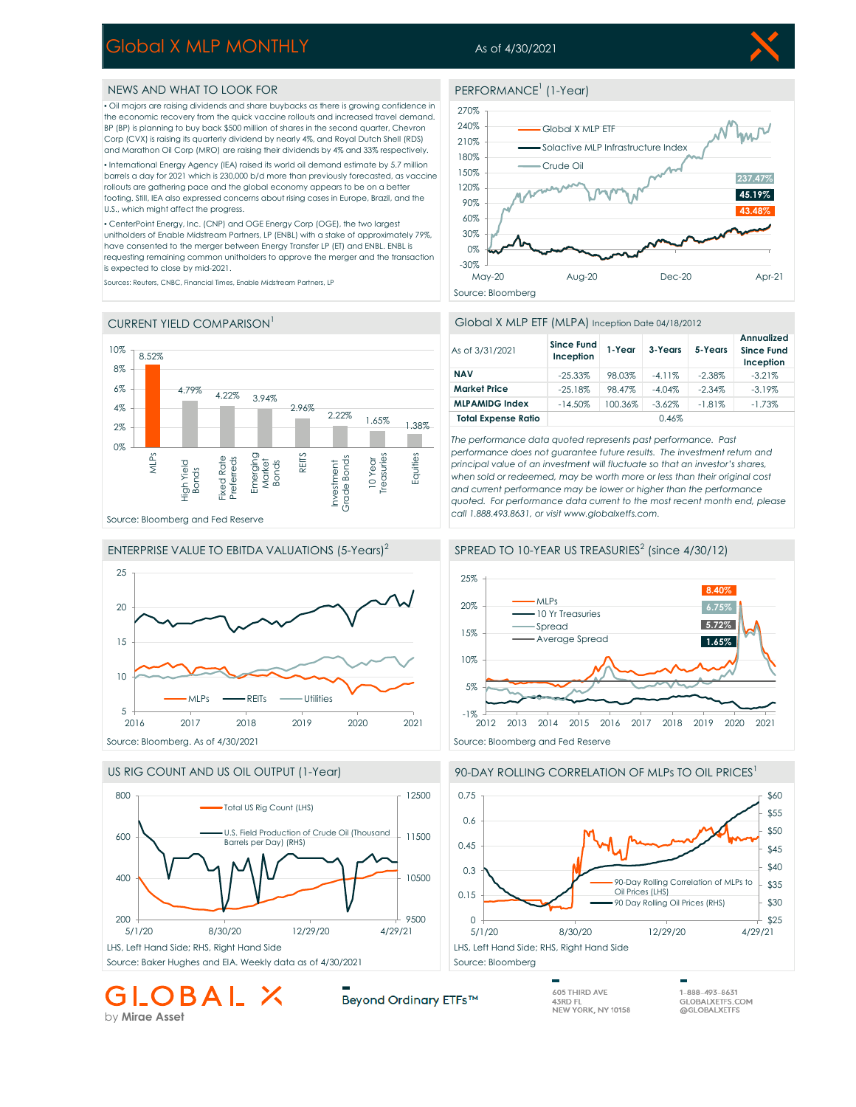# Global X MLP MONTHLY

## As of 4/30/2021

PERFORMANCE<sup>1</sup> (1-Year)

### NEWS AND WHAT TO LOOK FOR

▪ Oil majors are raising dividends and share buybacks as there is growing confidence in the economic recovery from the quick vaccine rollouts and increased travel demand. BP (BP) is planning to buy back \$500 million of shares in the second quarter, Chevron Corp (CVX) is raising its quarterly dividend by nearly 4%, and Royal Dutch Shell (RDS) and Marathon Oil Corp (MRO) are raising their dividends by 4% and 33% respectively.

▪ International Energy Agency (IEA) raised its world oil demand estimate by 5.7 million barrels a day for 2021 which is 230,000 b/d more than previously forecasted, as vaccine rollouts are gathering pace and the global economy appears to be on a better footing. Still, IEA also expressed concerns about rising cases in Europe, Brazil, and the U.S., which might affect the progress.

▪ CenterPoint Energy, Inc. (CNP) and OGE Energy Corp (OGE), the two largest unitholders of Enable Midstream Partners, LP (ENBL) with a stake of approximately 79%, have consented to the merger between Energy Transfer LP (ET) and ENBL. ENBL is requesting remaining common unitholders to approve the merger and the transaction is expected to close by mid-2021.

Sources: Reuters, CNBC, Financial Times, Enable Midstream Partners, LP



# ENTERPRISE VALUE TO EBITDA VALUATIONS (5-Years)<sup>2</sup> 5 10 15 20 25 2016 2017 2018 2019 2020 2021 MLPs **-REITS** -Utilities



OBAL X

### 210%

270%



### Global X MLP ETF (MLPA) Inception Date 04/18/2012

| As of 3/31/2021            | <b>Since Fund</b><br>Inception | 1-Year  | 3-Years   | 5-Years   | Annualized<br><b>Since Fund</b><br>Inception |
|----------------------------|--------------------------------|---------|-----------|-----------|----------------------------------------------|
| <b>NAV</b>                 | $-25.33%$                      | 98.03%  | $-4.11%$  | $-2.38\%$ | $-3.21%$                                     |
| <b>Market Price</b>        | $-25.18%$                      | 98.47%  | $-4.04%$  | $-2.34\%$ | $-3.19\%$                                    |
| <b>MLPAMIDG Index</b>      | $-14.50%$                      | 100.36% | $-3.62\%$ | $-1.81%$  | $-1.73%$                                     |
| <b>Total Expense Ratio</b> |                                |         | 0.46%     |           |                                              |

*The performance data quoted represents past performance. Past performance does not guarantee future results. The investment return and principal value of an investment will fluctuate so that an investor's shares, when sold or redeemed, may be worth more or less than their original cost and current performance may be lower or higher than the performance quoted. For performance data current to the most recent month end, please call 1.888.493.8631, or visit www.globalxetfs.com.*



#### 90-DAY ROLLING CORRELATION OF MLPs TO OIL PRICES<sup>1</sup>



605 THIRD AVE 43RD FL NEW YORK, NY 10158 1-888-493-8631 GLOBALXETFS.COM @GLOBALXETFS

by **Mirae Asset**

Beyond Ordinary ETFs™